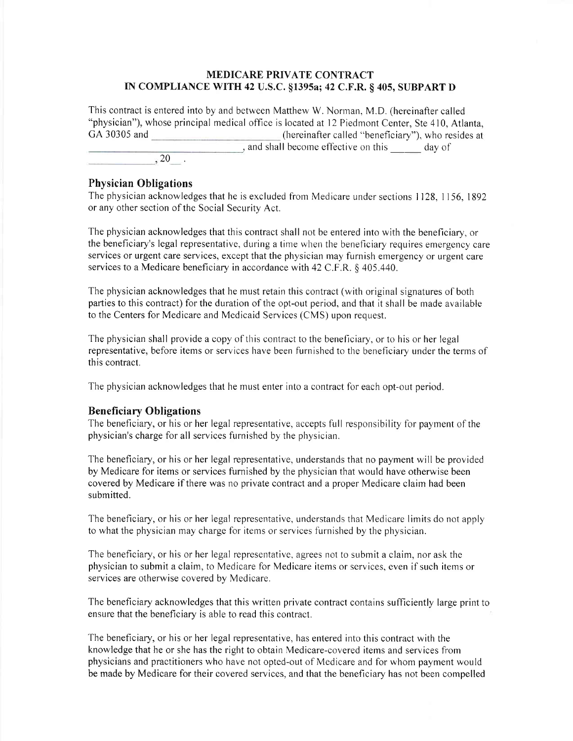## MEDICARE PRIVATE CONTRACT IN COMPLIANCE WITH 42 U.S.C. §1395a; 42 C.F.R. § 405, SUBPART D

This contract is entered into by and between Matthew W. Norman, M.D. (hereinafter called "physician"), whose principal medical office is located at l2 Piedmont Center, Ste 410, Atlanta, GA 30305 and **CA 30305** and **CA 30305** and **CA 30305** and **CA 30305** and **CA 30305** and **CA 30305** and **CA** 30305 and **CA** 30305 and **CA** 30305 and **CA** 30305 and **CA** 30305 and **CA** 30305 and **CA** 30305 and **CA** 30305 and , and shall become effective on this \_\_\_\_\_\_ day of  $\overline{\phantom{1}}$   $\phantom{1}$   $\phantom{1}$   $\phantom{1}$   $\phantom{1}$   $\phantom{1}$   $\phantom{1}$   $\phantom{1}$   $\phantom{1}$   $\phantom{1}$   $\phantom{1}$   $\phantom{1}$   $\phantom{1}$   $\phantom{1}$   $\phantom{1}$   $\phantom{1}$   $\phantom{1}$   $\phantom{1}$   $\phantom{1}$   $\phantom{1}$   $\phantom{1}$   $\phantom{1}$   $\phantom{1}$   $\phantom{1}$   $\$ 

## Physician Obligations

The physician acknowledges that he is excluded from Medicare under sections I 128, I 156, 1892 or any other section of the Social Security Act.

The physician acknowledges that this contract shall not be entered into with the beneficiary, or the beneficiary's legal representative, during a time wherr the beneficiary requires emergency care services or urgent care services, except that the physician may furnish emergency or urgent care services to a Medicare beneficiary in accordance with 42 C.F.R. § 405.440.

The physician acknowledges that he must retain this contract(with original signatures of both parties to this contract) for the duration of the opt-out period, and that it shall be made available to the Centers for Medicare and Medicaid Services (CMS) upon request.

The physician shall provide a copy of this contract to the beneficiary, or to his or her legal representative, before items or services have been furnished to the beneficiary under the terms of this contract,

The physician acknowledges that he must enter into a contract for each opt-out period.

## Beneficiary Obligations

The beneficiary, or his or her legal representative, accepts full responsibility for payment of the physician's charge for all services furnished by the physician.

The beneficiary, or his or her legal representative, understands that no payment will be provided by Medicare for items or services furnished by the physician that would have otherwise been covered by Medicare if there was no private contract and a proper Medicare claim had been submitted.

The beneficiary, or his or her legal representative, understands that Medicare limits do not apply to what the physician may charge for items or services furnished by the physician.

The beneficiary, or his or her legal representative, agrees not to submit a claim, nor ask the physician to submit a claim, to Medicare for Medicare items or services, even if such items or services are otherwise covered by Medicare.

The beneficiary acknowledges that this written private contract contains sufficiently large print to ensure that the beneficiary is able to read this contract.

The beneficiary, or his or her legal representative, has entered into this contract with the knowledge that he or she has the right to obtain Medicare-covered items and services from physicians and practitioners who have not opted-out of Medicare and for whom payment would be made by Medicare for their covered services, and that the beneficiary has not been compelled